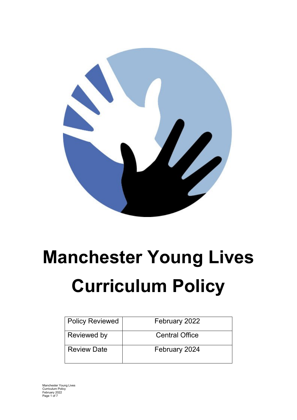

# **Manchester Young Lives Curriculum Policy**

| Policy Reviewed    | February 2022         |
|--------------------|-----------------------|
| <b>Reviewed by</b> | <b>Central Office</b> |
| <b>Review Date</b> | February 2024         |

Manchester Young Lives Curriculum Policy February 2022 Page 1 of 7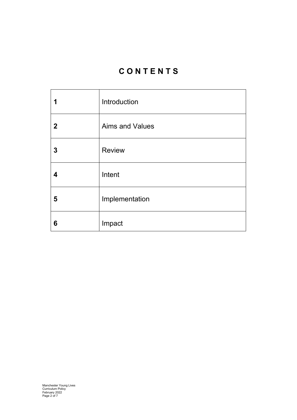# **C O N T E N T S**

| 1            | Introduction           |
|--------------|------------------------|
| $\mathbf{2}$ | <b>Aims and Values</b> |
| 3            | <b>Review</b>          |
| 4            | Intent                 |
| 5            | Implementation         |
| 6            | Impact                 |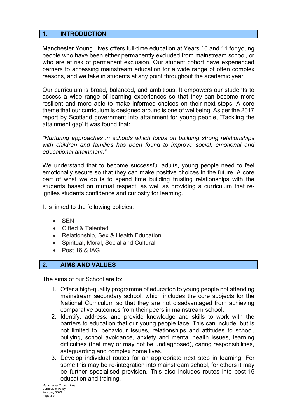# **1. INTRODUCTION**

Manchester Young Lives offers full-time education at Years 10 and 11 for young people who have been either permanently excluded from mainstream school, or who are at risk of permanent exclusion. Our student cohort have experienced barriers to accessing mainstream education for a wide range of often complex reasons, and we take in students at any point throughout the academic year.

Our curriculum is broad, balanced, and ambitious. It empowers our students to access a wide range of learning experiences so that they can become more resilient and more able to make informed choices on their next steps. A core theme that our curriculum is designed around is one of wellbeing. As per the 2017 report by Scotland government into attainment for young people, 'Tackling the attainment gap' it was found that:

*"Nurturing approaches in schools which focus on building strong relationships with children and families has been found to improve social, emotional and educational attainment."*

We understand that to become successful adults, young people need to feel emotionally secure so that they can make positive choices in the future. A core part of what we do is to spend time building trusting relationships with the students based on mutual respect, as well as providing a curriculum that reignites students confidence and curiosity for learning.

It is linked to the following policies:

- SEN
- Gifted & Talented
- Relationship, Sex & Health Education
- Spiritual, Moral, Social and Cultural
- Post 16 & IAG

## **2. AIMS AND VALUES**

The aims of our School are to:

- 1. Offer a high-quality programme of education to young people not attending mainstream secondary school, which includes the core subjects for the National Curriculum so that they are not disadvantaged from achieving comparative outcomes from their peers in mainstream school.
- 2. Identify, address, and provide knowledge and skills to work with the barriers to education that our young people face. This can include, but is not limited to, behaviour issues, relationships and attitudes to school, bullying, school avoidance, anxiety and mental health issues, learning difficulties (that may or may not be undiagnosed), caring responsibilities, safeguarding and complex home lives.
- 3. Develop individual routes for an appropriate next step in learning. For some this may be re-integration into mainstream school, for others it may be further specialised provision. This also includes routes into post-16 education and training.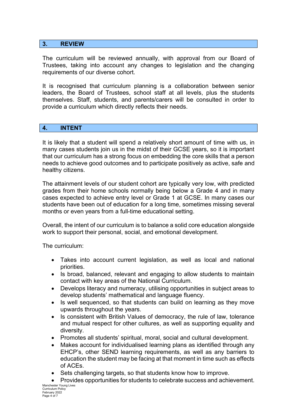## **3. REVIEW**

The curriculum will be reviewed annually, with approval from our Board of Trustees, taking into account any changes to legislation and the changing requirements of our diverse cohort.

It is recognised that curriculum planning is a collaboration between senior leaders, the Board of Trustees, school staff at all levels, plus the students themselves. Staff, students, and parents/carers will be consulted in order to provide a curriculum which directly reflects their needs.

#### **4. INTENT**

It is likely that a student will spend a relatively short amount of time with us, in many cases students join us in the midst of their GCSE years, so it is important that our curriculum has a strong focus on embedding the core skills that a person needs to achieve good outcomes and to participate positively as active, safe and healthy citizens.

The attainment levels of our student cohort are typically very low, with predicted grades from their home schools normally being below a Grade 4 and in many cases expected to achieve entry level or Grade 1 at GCSE. In many cases our students have been out of education for a long time, sometimes missing several months or even years from a full-time educational setting.

Overall, the intent of our curriculum is to balance a solid core education alongside work to support their personal, social, and emotional development.

The curriculum:

- Takes into account current legislation, as well as local and national priorities.
- Is broad, balanced, relevant and engaging to allow students to maintain contact with key areas of the National Curriculum.
- Develops literacy and numeracy, utilising opportunities in subject areas to develop students' mathematical and language fluency.
- Is well sequenced, so that students can build on learning as they move upwards throughout the years.
- Is consistent with British Values of democracy, the rule of law, tolerance and mutual respect for other cultures, as well as supporting equality and diversity.
- Promotes all students' spiritual, moral, social and cultural development.
- Makes account for individualised learning plans as identified through any EHCP's, other SEND learning requirements, as well as any barriers to education the student may be facing at that moment in time such as effects of ACEs.
- Sets challenging targets, so that students know how to improve.
- Manchester Young Lives • Provides opportunities for students to celebrate success and achievement.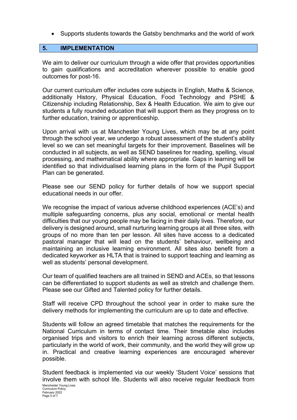• Supports students towards the Gatsby benchmarks and the world of work

#### **5. IMPLEMENTATION**

We aim to deliver our curriculum through a wide offer that provides opportunities to gain qualifications and accreditation wherever possible to enable good outcomes for post-16.

Our current curriculum offer includes core subjects in English, Maths & Science, additionally History, Physical Education, Food Technology and PSHE & Citizenship including Relationship, Sex & Health Education. We aim to give our students a fully rounded education that will support them as they progress on to further education, training or apprenticeship.

Upon arrival with us at Manchester Young Lives, which may be at any point through the school year, we undergo a robust assessment of the student's ability level so we can set meaningful targets for their improvement. Baselines will be conducted in all subjects, as well as SEND baselines for reading, spelling, visual processing, and mathematical ability where appropriate. Gaps in learning will be identified so that individualised learning plans in the form of the Pupil Support Plan can be generated.

Please see our SEND policy for further details of how we support special educational needs in our offer.

We recognise the impact of various adverse childhood experiences (ACE's) and multiple safeguarding concerns, plus any social, emotional or mental health difficulties that our young people may be facing in their daily lives. Therefore, our delivery is designed around, small nurturing learning groups at all three sites, with groups of no more than ten per lesson. All sites have access to a dedicated pastoral manager that will lead on the students' behaviour, wellbeing and maintaining an inclusive learning environment. All sites also benefit from a dedicated keyworker as HLTA that is trained to support teaching and learning as well as students' personal development.

Our team of qualified teachers are all trained in SEND and ACEs, so that lessons can be differentiated to support students as well as stretch and challenge them. Please see our Gifted and Talented policy for further details.

Staff will receive CPD throughout the school year in order to make sure the delivery methods for implementing the curriculum are up to date and effective.

Students will follow an agreed timetable that matches the requirements for the National Curriculum in terms of contact time. Their timetable also includes organised trips and visitors to enrich their learning across different subjects, particularly in the world of work, their community, and the world they will grow up in. Practical and creative learning experiences are encouraged wherever possible.

Manchester Young Lives Student feedback is implemented via our weekly 'Student Voice' sessions that involve them with school life. Students will also receive regular feedback from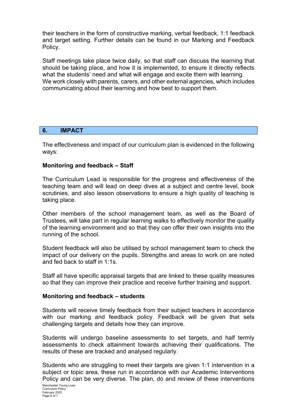their teachers in the form of constructive marking, verbal feedback, 1:1 feedback and target setting. Further details can be found in our Marking and Feedback Policy.

Staff meetings take place twice daily, so that staff can discuss the learning that should be taking place, and how it is implemented, to ensure it directly reflects what the students' need and what will engage and excite them with learning. We work closely with parents, carers, and other external agencies, which includes communicating about their learning and how best to support them.

#### **6. IMPACT**

The effectiveness and impact of our curriculum plan is evidenced in the following ways:

#### **Monitoring and feedback – Staff**

The Curriculum Lead is responsible for the progress and effectiveness of the teaching team and will lead on deep dives at a subject and centre level, book scrutinies, and also lesson observations to ensure a high quality of teaching is taking place.

Other members of the school management team, as well as the Board of Trustees, will take part in regular learning walks to effectively monitor the quality of the learning environment and so that they can offer their own insights into the running of the school.

Student feedback will also be utilised by school management team to check the impact of our delivery on the pupils. Strengths and areas to work on are noted and fed back to staff in 1:1s.

Staff all have specific appraisal targets that are linked to these quality measures so that they can improve their practice and receive further training and support.

#### **Monitoring and feedback – students**

Students will receive timely feedback from their subject teachers in accordance with our marking and feedback policy. Feedback will be given that sets challenging targets and details how they can improve.

Students will undergo baseline assessments to set targets, and half termly assessments to check attainment towards achieving their qualifications. The results of these are tracked and analysed regularly.

Manchester Young Lives Students who are struggling to meet their targets are given 1:1 intervention in a subject or topic area, these run in accordance with our Academic Interventions Policy and can be very diverse. The plan, do and review of these interventions